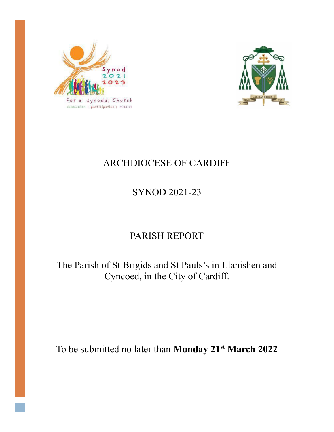



# ARCHDIOCESE OF CARDIFF

# SYNOD 2021-23

# PARISH REPORT

The Parish of St Brigids and St Pauls's in Llanishen and Cyncoed, in the City of Cardiff.

To be submitted no later than **Monday 21st March 2022**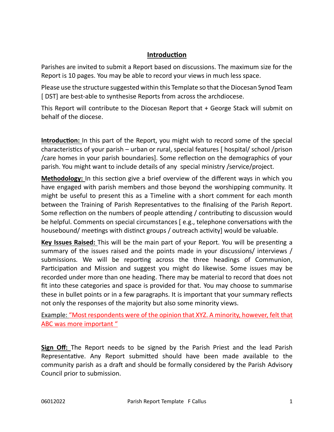#### **Introduction**

Parishes are invited to submit a Report based on discussions. The maximum size for the Report is 10 pages. You may be able to record your views in much less space.

Please use the structure suggested within this Template so that the Diocesan Synod Team [ DST] are best-able to synthesise Reports from across the archdiocese.

This Report will contribute to the Diocesan Report that + George Stack will submit on behalf of the diocese.

**Introduction:** In this part of the Report, you might wish to record some of the special characteristics of your parish – urban or rural, special features [ hospital/ school /prison /care homes in your parish boundaries]. Some reflection on the demographics of your parish. You might want to include details of any special ministry /service/project.

**Methodology:** In this section give a brief overview of the different ways in which you have engaged with parish members and those beyond the worshipping community. It might be useful to present this as a Timeline with a short comment for each month between the Training of Parish Representatives to the finalising of the Parish Report. Some reflection on the numbers of people attending / contributing to discussion would be helpful. Comments on special circumstances [ e.g., telephone conversations with the housebound/ meetings with distinct groups / outreach activity] would be valuable.

**Key Issues Raised:** This will be the main part of your Report. You will be presenting a summary of the issues raised and the points made in your discussions/ interviews / submissions. We will be reporting across the three headings of Communion, Participation and Mission and suggest you might do likewise. Some issues may be recorded under more than one heading. There may be material to record that does not fit into these categories and space is provided for that. You may choose to summarise these in bullet points or in a few paragraphs. It is important that your summary reflects not only the responses of the majority but also some minority views.

Example: "Most respondents were of the opinion that XYZ. A minority, however, felt that ABC was more important "

**Sign Off:** The Report needs to be signed by the Parish Priest and the lead Parish Representative. Any Report submitted should have been made available to the community parish as a draft and should be formally considered by the Parish Advisory Council prior to submission.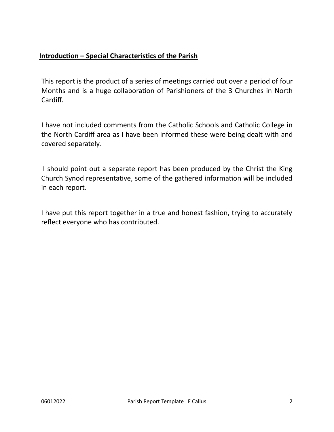### **Introduction – Special Characteristics of the Parish**

This report is the product of a series of meetings carried out over a period of four Months and is a huge collaboration of Parishioners of the 3 Churches in North Cardiff.

I have not included comments from the Catholic Schools and Catholic College in the North Cardiff area as I have been informed these were being dealt with and covered separately.

I should point out a separate report has been produced by the Christ the King Church Synod representative, some of the gathered information will be included in each report.

I have put this report together in a true and honest fashion, trying to accurately reflect everyone who has contributed.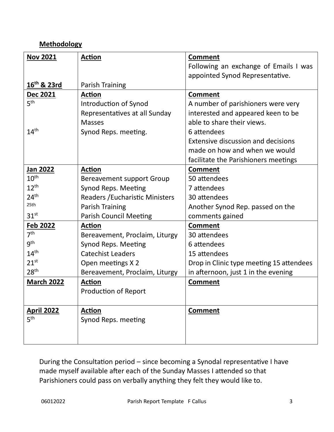### **Methodology**

| <b>Nov 2021</b>         | <b>Action</b>                    | <b>Comment</b>                            |
|-------------------------|----------------------------------|-------------------------------------------|
|                         |                                  | Following an exchange of Emails I was     |
|                         |                                  | appointed Synod Representative.           |
| 16 <sup>th</sup> & 23rd | <b>Parish Training</b>           |                                           |
| Dec 2021                | <b>Action</b>                    | <b>Comment</b>                            |
| 5 <sup>th</sup>         | Introduction of Synod            | A number of parishioners were very        |
|                         | Representatives at all Sunday    | interested and appeared keen to be        |
|                         | <b>Masses</b>                    | able to share their views.                |
| 14 <sup>th</sup>        | Synod Reps. meeting.             | 6 attendees                               |
|                         |                                  | <b>Extensive discussion and decisions</b> |
|                         |                                  | made on how and when we would             |
|                         |                                  | facilitate the Parishioners meetings      |
| Jan 2022                | <b>Action</b>                    | <b>Comment</b>                            |
| $10^{\text{th}}$        | <b>Bereavement support Group</b> | 50 attendees                              |
| $12^{th}$               | <b>Synod Reps. Meeting</b>       | 7 attendees                               |
| 24 <sup>th</sup>        | Readers / Eucharistic Ministers  | 30 attendees                              |
| 25th                    | <b>Parish Training</b>           | Another Synod Rep. passed on the          |
| 31 <sup>st</sup>        | <b>Parish Council Meeting</b>    | comments gained                           |
| <b>Feb 2022</b>         | Action                           | <b>Comment</b>                            |
| 7 <sup>th</sup>         | Bereavement, Proclaim, Liturgy   | 30 attendees                              |
| 9 <sup>th</sup>         | Synod Reps. Meeting              | 6 attendees                               |
| 14 <sup>th</sup>        | <b>Catechist Leaders</b>         | 15 attendees                              |
| $21^{st}$               | Open meetings X 2                | Drop in Clinic type meeting 15 attendees  |
| 28 <sup>th</sup>        | Bereavement, Proclaim, Liturgy   | in afternoon, just 1 in the evening       |
| <b>March 2022</b>       | <b>Action</b>                    | <b>Comment</b>                            |
|                         | <b>Production of Report</b>      |                                           |
|                         |                                  |                                           |
| <b>April 2022</b>       | <b>Action</b>                    | <b>Comment</b>                            |
| 5 <sup>th</sup>         | Synod Reps. meeting              |                                           |
|                         |                                  |                                           |
|                         |                                  |                                           |

During the Consultation period – since becoming a Synodal representative I have made myself available after each of the Sunday Masses I attended so that Parishioners could pass on verbally anything they felt they would like to.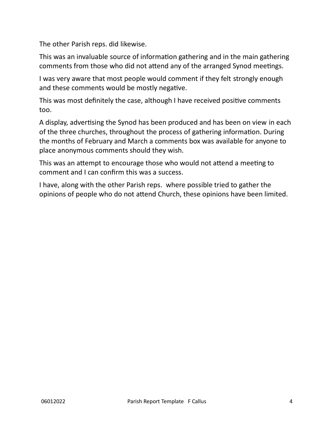The other Parish reps. did likewise.

This was an invaluable source of information gathering and in the main gathering comments from those who did not attend any of the arranged Synod meetings.

I was very aware that most people would comment if they felt strongly enough and these comments would be mostly negative.

This was most definitely the case, although I have received positive comments too.

A display, advertising the Synod has been produced and has been on view in each of the three churches, throughout the process of gathering information. During the months of February and March a comments box was available for anyone to place anonymous comments should they wish.

This was an attempt to encourage those who would not attend a meeting to comment and I can confirm this was a success.

I have, along with the other Parish reps. where possible tried to gather the opinions of people who do not attend Church, these opinions have been limited.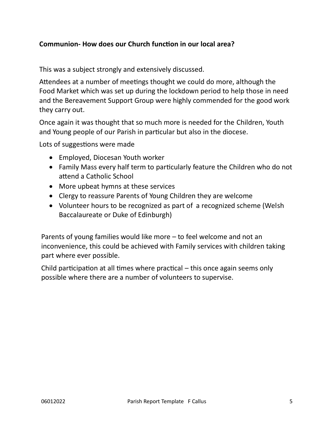### **Communion- How does our Church function in our local area?**

This was a subject strongly and extensively discussed.

Attendees at a number of meetings thought we could do more, although the Food Market which was set up during the lockdown period to help those in need and the Bereavement Support Group were highly commended for the good work they carry out.

Once again it was thought that so much more is needed for the Children, Youth and Young people of our Parish in particular but also in the diocese.

Lots of suggestions were made

- Employed, Diocesan Youth worker
- Family Mass every half term to particularly feature the Children who do not attend a Catholic School
- More upbeat hymns at these services
- Clergy to reassure Parents of Young Children they are welcome
- Volunteer hours to be recognized as part of a recognized scheme (Welsh Baccalaureate or Duke of Edinburgh)

Parents of young families would like more – to feel welcome and not an inconvenience, this could be achieved with Family services with children taking part where ever possible.

Child participation at all times where practical – this once again seems only possible where there are a number of volunteers to supervise.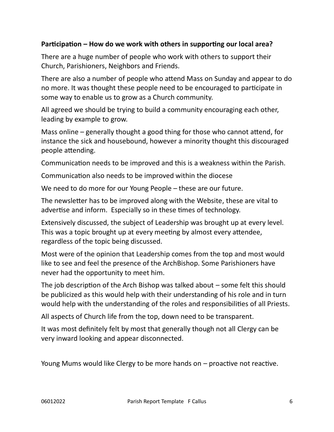### **Participation – How do we work with others in supporting our local area?**

There are a huge number of people who work with others to support their Church, Parishioners, Neighbors and Friends.

There are also a number of people who attend Mass on Sunday and appear to do no more. It was thought these people need to be encouraged to participate in some way to enable us to grow as a Church community.

All agreed we should be trying to build a community encouraging each other, leading by example to grow.

Mass online – generally thought a good thing for those who cannot attend, for instance the sick and housebound, however a minority thought this discouraged people attending.

Communication needs to be improved and this is a weakness within the Parish.

Communication also needs to be improved within the diocese

We need to do more for our Young People – these are our future.

The newsletter has to be improved along with the Website, these are vital to advertise and inform. Especially so in these times of technology.

Extensively discussed, the subject of Leadership was brought up at every level. This was a topic brought up at every meeting by almost every attendee, regardless of the topic being discussed.

Most were of the opinion that Leadership comes from the top and most would like to see and feel the presence of the ArchBishop. Some Parishioners have never had the opportunity to meet him.

The job description of the Arch Bishop was talked about – some felt this should be publicized as this would help with their understanding of his role and in turn would help with the understanding of the roles and responsibilities of all Priests.

All aspects of Church life from the top, down need to be transparent.

It was most definitely felt by most that generally though not all Clergy can be very inward looking and appear disconnected.

Young Mums would like Clergy to be more hands on – proactive not reactive.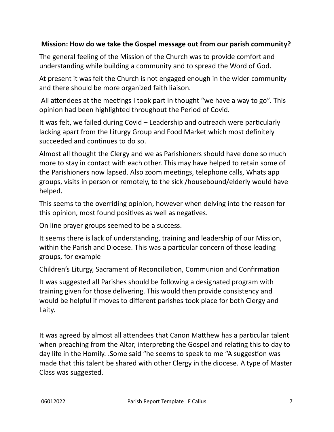### **Mission: How do we take the Gospel message out from our parish community?**

The general feeling of the Mission of the Church was to provide comfort and understanding while building a community and to spread the Word of God.

At present it was felt the Church is not engaged enough in the wider community and there should be more organized faith liaison.

All attendees at the meetings I took part in thought "we have a way to go". This opinion had been highlighted throughout the Period of Covid.

It was felt, we failed during Covid – Leadership and outreach were particularly lacking apart from the Liturgy Group and Food Market which most definitely succeeded and continues to do so.

Almost all thought the Clergy and we as Parishioners should have done so much more to stay in contact with each other. This may have helped to retain some of the Parishioners now lapsed. Also zoom meetings, telephone calls, Whats app groups, visits in person or remotely, to the sick /housebound/elderly would have helped.

This seems to the overriding opinion, however when delving into the reason for this opinion, most found positives as well as negatives.

On line prayer groups seemed to be a success.

It seems there is lack of understanding, training and leadership of our Mission, within the Parish and Diocese. This was a particular concern of those leading groups, for example

Children's Liturgy, Sacrament of Reconciliation, Communion and Confirmation

It was suggested all Parishes should be following a designated program with training given for those delivering. This would then provide consistency and would be helpful if moves to different parishes took place for both Clergy and Laity.

It was agreed by almost all attendees that Canon Matthew has a particular talent when preaching from the Altar, interpreting the Gospel and relating this to day to day life in the Homily. .Some said "he seems to speak to me "A suggestion was made that this talent be shared with other Clergy in the diocese. A type of Master Class was suggested.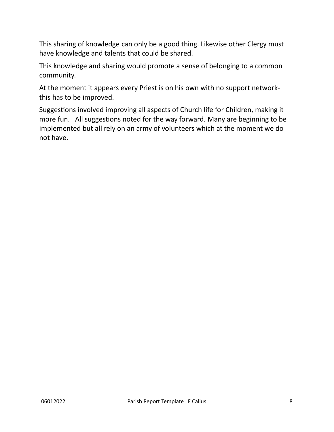This sharing of knowledge can only be a good thing. Likewise other Clergy must have knowledge and talents that could be shared.

This knowledge and sharing would promote a sense of belonging to a common community.

At the moment it appears every Priest is on his own with no support networkthis has to be improved.

Suggestions involved improving all aspects of Church life for Children, making it more fun. All suggestions noted for the way forward. Many are beginning to be implemented but all rely on an army of volunteers which at the moment we do not have.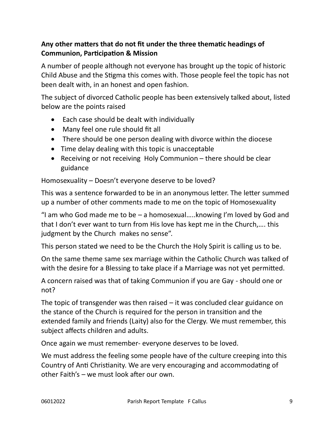## **Any other matters that do not fit under the three thematic headings of Communion, Participation & Mission**

A number of people although not everyone has brought up the topic of historic Child Abuse and the Stigma this comes with. Those people feel the topic has not been dealt with, in an honest and open fashion.

The subject of divorced Catholic people has been extensively talked about, listed below are the points raised

- Each case should be dealt with individually
- Many feel one rule should fit all
- There should be one person dealing with divorce within the diocese
- Time delay dealing with this topic is unacceptable
- Receiving or not receiving Holy Communion there should be clear guidance

Homosexuality – Doesn't everyone deserve to be loved?

This was a sentence forwarded to be in an anonymous letter. The letter summed up a number of other comments made to me on the topic of Homosexuality

"I am who God made me to be  $-$  a homosexual.....knowing I'm loved by God and that I don't ever want to turn from His love has kept me in the Church,…. this judgment by the Church makes no sense".

This person stated we need to be the Church the Holy Spirit is calling us to be.

On the same theme same sex marriage within the Catholic Church was talked of with the desire for a Blessing to take place if a Marriage was not yet permitted.

A concern raised was that of taking Communion if you are Gay - should one or not?

The topic of transgender was then raised – it was concluded clear guidance on the stance of the Church is required for the person in transition and the extended family and friends (Laity) also for the Clergy. We must remember, this subject affects children and adults.

Once again we must remember- everyone deserves to be loved.

We must address the feeling some people have of the culture creeping into this Country of Anti Christianity. We are very encouraging and accommodating of other Faith's – we must look after our own.